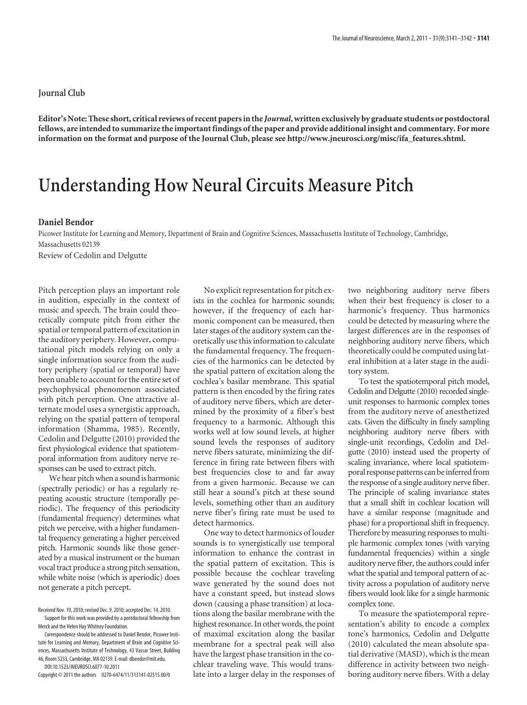## **Journal Club**

**Editor's Note: These short, critical reviews of recent papers in the** *Journal***, written exclusively by graduate students or postdoctoral fellows, are intended to summarize the important findings of the paper and provide additional insight and commentary. For more information on the format and purpose of the Journal Club, please see http://www.jneurosci.org/misc/ifa\_features.shtml.**

## **Understanding How Neural Circuits Measure Pitch**

## **Daniel Bendor**

Picower Institute for Learning and Memory, Department of Brain and Cognitive Sciences, Massachusetts Institute of Technology, Cambridge, Massachusetts 02139

Review of Cedolin and Delgutte

Pitch perception plays an important role in audition, especially in the context of music and speech. The brain could theoretically compute pitch from either the spatial or temporal pattern of excitation in the auditory periphery. However, computational pitch models relying on only a single information source from the auditory periphery (spatial or temporal) have been unable to account for the entire set of psychophysical phenomenon associated with pitch perception. One attractive alternate model uses a synergistic approach, relying on the spatial pattern of temporal information (Shamma, 1985). Recently, Cedolin and Delgutte (2010) provided the first physiological evidence that spatiotemporal information from auditory nerve responses can be used to extract pitch.

We hear pitch when a sound is harmonic (spectrally periodic) or has a regularly repeating acoustic structure (temporally periodic). The frequency of this periodicity (fundamental frequency) determines what pitch we perceive, with a higher fundamental frequency generating a higher perceived pitch. Harmonic sounds like those generated by a musical instrument or the human vocal tract produce a strong pitch sensation, while white noise (which is aperiodic) does not generate a pitch percept.

ences, Massachusetts Institute of Technology, 43 Vassar Street, Building 46, Room 5233, Cambridge, MA 02139. E-mail: dbendor@mit.edu. DOI:10.1523/JNEUROSCI.6077-10.2011

Copyright © 2011 the authors 0270-6474/11/313141-02\$15.00/0

No explicit representation for pitch exists in the cochlea for harmonic sounds; however, if the frequency of each harmonic component can be measured, then later stages of the auditory system can theoretically use this information to calculate the fundamental frequency. The frequencies of the harmonics can be detected by the spatial pattern of excitation along the cochlea's basilar membrane. This spatial pattern is then encoded by the firing rates of auditory nerve fibers, which are determined by the proximity of a fiber's best frequency to a harmonic. Although this works well at low sound levels, at higher sound levels the responses of auditory nerve fibers saturate, minimizing the difference in firing rate between fibers with best frequencies close to and far away from a given harmonic. Because we can still hear a sound's pitch at these sound levels, something other than an auditory nerve fiber's firing rate must be used to detect harmonics.

One way to detect harmonics of louder sounds is to synergistically use temporal information to enhance the contrast in the spatial pattern of excitation. This is possible because the cochlear traveling wave generated by the sound does not have a constant speed, but instead slows down (causing a phase transition) at locations along the basilar membrane with the highest resonance. In other words, the point of maximal excitation along the basilar membrane for a spectral peak will also have the largest phase transition in the cochlear traveling wave. This would translate into a larger delay in the responses of two neighboring auditory nerve fibers when their best frequency is closer to a harmonic's frequency. Thus harmonics could be detected by measuring where the largest differences are in the responses of neighboring auditory nerve fibers, which theoretically could be computed using lateral inhibition at a later stage in the auditory system.

To test the spatiotemporal pitch model, Cedolin and Delgutte (2010) recorded singleunit responses to harmonic complex tones from the auditory nerve of anesthetized cats. Given the difficulty in finely sampling neighboring auditory nerve fibers with single-unit recordings, Cedolin and Delgutte (2010) instead used the property of scaling invariance, where local spatiotemporal response patterns can be inferred from the response of a single auditory nerve fiber. The principle of scaling invariance states that a small shift in cochlear location will have a similar response (magnitude and phase) for a proportional shift in frequency. Therefore by measuring responses to multiple harmonic complex tones (with varying fundamental frequencies) within a single auditory nerve fiber, the authors could infer what the spatial and temporal pattern of activity across a population of auditory nerve fibers would look like for a single harmonic complex tone.

To measure the spatiotemporal representation's ability to encode a complex tone's harmonics, Cedolin and Delgutte (2010) calculated the mean absolute spatial derivative (MASD), which is the mean difference in activity between two neighboring auditory nerve fibers. With a delay

Received Nov. 19, 2010; revised Dec. 9, 2010; accepted Dec. 14, 2010. Support for this work was provided by a postdoctoral fellowship from

Merck and the Helen Hay Whitney Foundation. Correspondence should be addressed to Daniel Bendor, Picower Institute for Learning and Memory, Department of Brain and Cognitive Sci-